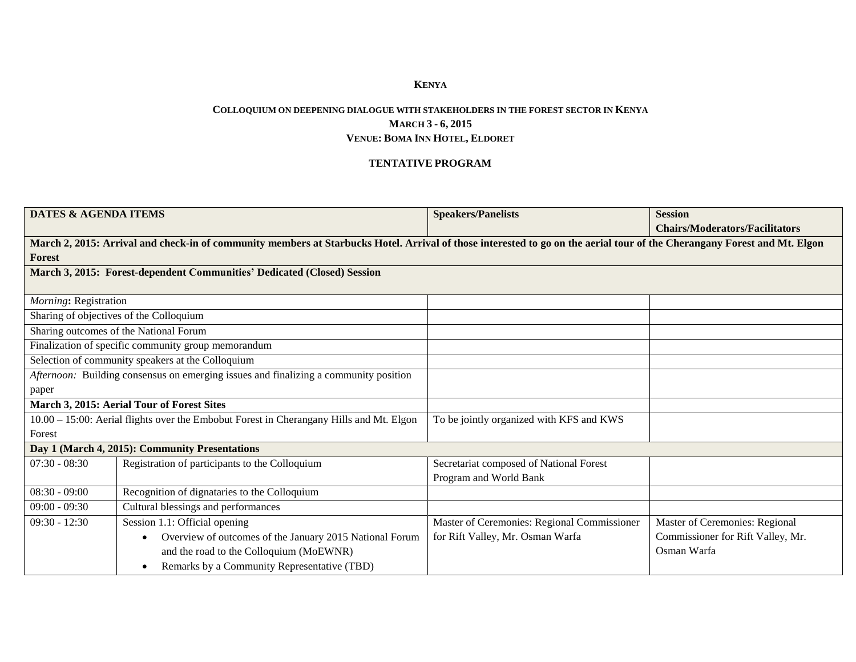## **KENYA**

## **COLLOQUIUM ON DEEPENING DIALOGUE WITH STAKEHOLDERS IN THE FOREST SECTOR IN KENYA MARCH 3 - 6, 2015 VENUE: BOMA INN HOTEL, ELDORET**

## **TENTATIVE PROGRAM**

| <b>DATES &amp; AGENDA ITEMS</b>                                                         |                                                                                                                                                                          | <b>Speakers/Panelists</b>                   | <b>Session</b>                        |  |  |
|-----------------------------------------------------------------------------------------|--------------------------------------------------------------------------------------------------------------------------------------------------------------------------|---------------------------------------------|---------------------------------------|--|--|
|                                                                                         |                                                                                                                                                                          |                                             | <b>Chairs/Moderators/Facilitators</b> |  |  |
|                                                                                         | March 2, 2015: Arrival and check-in of community members at Starbucks Hotel. Arrival of those interested to go on the aerial tour of the Cherangany Forest and Mt. Elgon |                                             |                                       |  |  |
| <b>Forest</b>                                                                           |                                                                                                                                                                          |                                             |                                       |  |  |
|                                                                                         | March 3, 2015: Forest-dependent Communities' Dedicated (Closed) Session                                                                                                  |                                             |                                       |  |  |
| Morning: Registration                                                                   |                                                                                                                                                                          |                                             |                                       |  |  |
|                                                                                         | Sharing of objectives of the Colloquium                                                                                                                                  |                                             |                                       |  |  |
|                                                                                         | Sharing outcomes of the National Forum                                                                                                                                   |                                             |                                       |  |  |
|                                                                                         | Finalization of specific community group memorandum                                                                                                                      |                                             |                                       |  |  |
|                                                                                         | Selection of community speakers at the Colloquium                                                                                                                        |                                             |                                       |  |  |
| Afternoon: Building consensus on emerging issues and finalizing a community position    |                                                                                                                                                                          |                                             |                                       |  |  |
| paper                                                                                   |                                                                                                                                                                          |                                             |                                       |  |  |
|                                                                                         | March 3, 2015: Aerial Tour of Forest Sites                                                                                                                               |                                             |                                       |  |  |
| 10.00 - 15:00: Aerial flights over the Embobut Forest in Cherangany Hills and Mt. Elgon |                                                                                                                                                                          | To be jointly organized with KFS and KWS    |                                       |  |  |
| Forest                                                                                  |                                                                                                                                                                          |                                             |                                       |  |  |
|                                                                                         | Day 1 (March 4, 2015): Community Presentations                                                                                                                           |                                             |                                       |  |  |
| $07:30 - 08:30$                                                                         | Registration of participants to the Colloquium                                                                                                                           | Secretariat composed of National Forest     |                                       |  |  |
|                                                                                         |                                                                                                                                                                          | Program and World Bank                      |                                       |  |  |
| $08:30 - 09:00$                                                                         | Recognition of dignataries to the Colloquium                                                                                                                             |                                             |                                       |  |  |
| $09:00 - 09:30$                                                                         | Cultural blessings and performances                                                                                                                                      |                                             |                                       |  |  |
| $09:30 - 12:30$                                                                         | Session 1.1: Official opening                                                                                                                                            | Master of Ceremonies: Regional Commissioner | Master of Ceremonies: Regional        |  |  |
|                                                                                         | Overview of outcomes of the January 2015 National Forum                                                                                                                  | for Rift Valley, Mr. Osman Warfa            | Commissioner for Rift Valley, Mr.     |  |  |
|                                                                                         | and the road to the Colloquium (MoEWNR)                                                                                                                                  |                                             | Osman Warfa                           |  |  |
|                                                                                         | Remarks by a Community Representative (TBD)                                                                                                                              |                                             |                                       |  |  |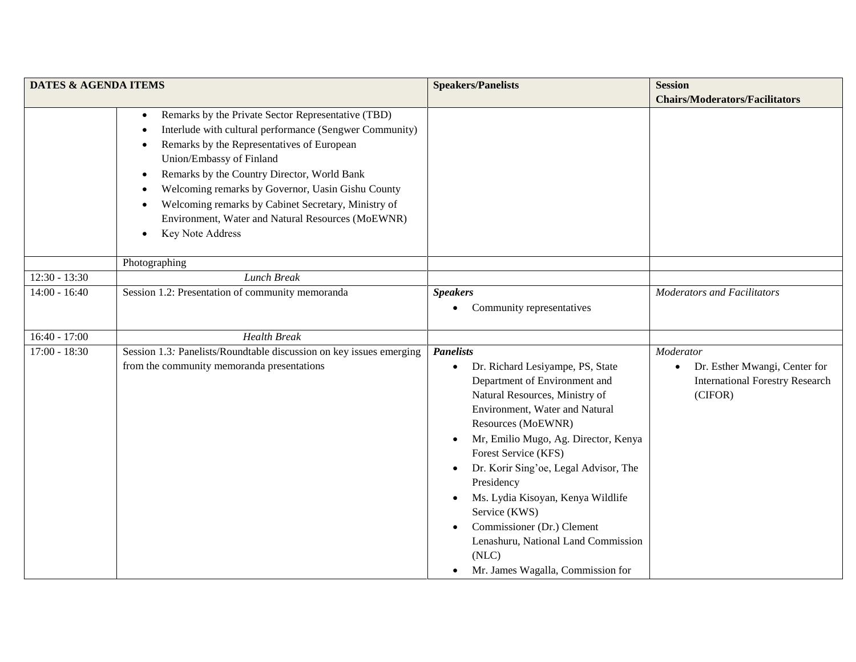| <b>DATES &amp; AGENDA ITEMS</b> |                                                                                                                                                                                                                                                                                                                                                                                                                                                                                                        | <b>Speakers/Panelists</b>                                                                                                                                                                                                                                                                                                                                                                                                                                                                                                                        | <b>Session</b>                                                                                               |
|---------------------------------|--------------------------------------------------------------------------------------------------------------------------------------------------------------------------------------------------------------------------------------------------------------------------------------------------------------------------------------------------------------------------------------------------------------------------------------------------------------------------------------------------------|--------------------------------------------------------------------------------------------------------------------------------------------------------------------------------------------------------------------------------------------------------------------------------------------------------------------------------------------------------------------------------------------------------------------------------------------------------------------------------------------------------------------------------------------------|--------------------------------------------------------------------------------------------------------------|
|                                 |                                                                                                                                                                                                                                                                                                                                                                                                                                                                                                        |                                                                                                                                                                                                                                                                                                                                                                                                                                                                                                                                                  | <b>Chairs/Moderators/Facilitators</b>                                                                        |
|                                 | Remarks by the Private Sector Representative (TBD)<br>$\bullet$<br>Interlude with cultural performance (Sengwer Community)<br>$\bullet$<br>Remarks by the Representatives of European<br>٠<br>Union/Embassy of Finland<br>Remarks by the Country Director, World Bank<br>$\bullet$<br>Welcoming remarks by Governor, Uasin Gishu County<br>٠<br>Welcoming remarks by Cabinet Secretary, Ministry of<br>$\bullet$<br>Environment, Water and Natural Resources (MoEWNR)<br>Key Note Address<br>$\bullet$ |                                                                                                                                                                                                                                                                                                                                                                                                                                                                                                                                                  |                                                                                                              |
|                                 | Photographing                                                                                                                                                                                                                                                                                                                                                                                                                                                                                          |                                                                                                                                                                                                                                                                                                                                                                                                                                                                                                                                                  |                                                                                                              |
| $12:30 - 13:30$                 | Lunch Break                                                                                                                                                                                                                                                                                                                                                                                                                                                                                            |                                                                                                                                                                                                                                                                                                                                                                                                                                                                                                                                                  |                                                                                                              |
| $14:00 - 16:40$                 | Session 1.2: Presentation of community memoranda                                                                                                                                                                                                                                                                                                                                                                                                                                                       | <b>Speakers</b><br>Community representatives                                                                                                                                                                                                                                                                                                                                                                                                                                                                                                     | <b>Moderators and Facilitators</b>                                                                           |
| $16:40 - 17:00$                 | <b>Health Break</b>                                                                                                                                                                                                                                                                                                                                                                                                                                                                                    |                                                                                                                                                                                                                                                                                                                                                                                                                                                                                                                                                  |                                                                                                              |
| $17:00 - 18:30$                 | Session 1.3: Panelists/Roundtable discussion on key issues emerging<br>from the community memoranda presentations                                                                                                                                                                                                                                                                                                                                                                                      | <b>Panelists</b><br>Dr. Richard Lesiyampe, PS, State<br>$\bullet$<br>Department of Environment and<br>Natural Resources, Ministry of<br>Environment, Water and Natural<br>Resources (MoEWNR)<br>Mr, Emilio Mugo, Ag. Director, Kenya<br>$\bullet$<br>Forest Service (KFS)<br>Dr. Korir Sing'oe, Legal Advisor, The<br>$\bullet$<br>Presidency<br>Ms. Lydia Kisoyan, Kenya Wildlife<br>$\bullet$<br>Service (KWS)<br>Commissioner (Dr.) Clement<br>Lenashuru, National Land Commission<br>(NLC)<br>Mr. James Wagalla, Commission for<br>$\bullet$ | Moderator<br>Dr. Esther Mwangi, Center for<br>$\bullet$<br><b>International Forestry Research</b><br>(CIFOR) |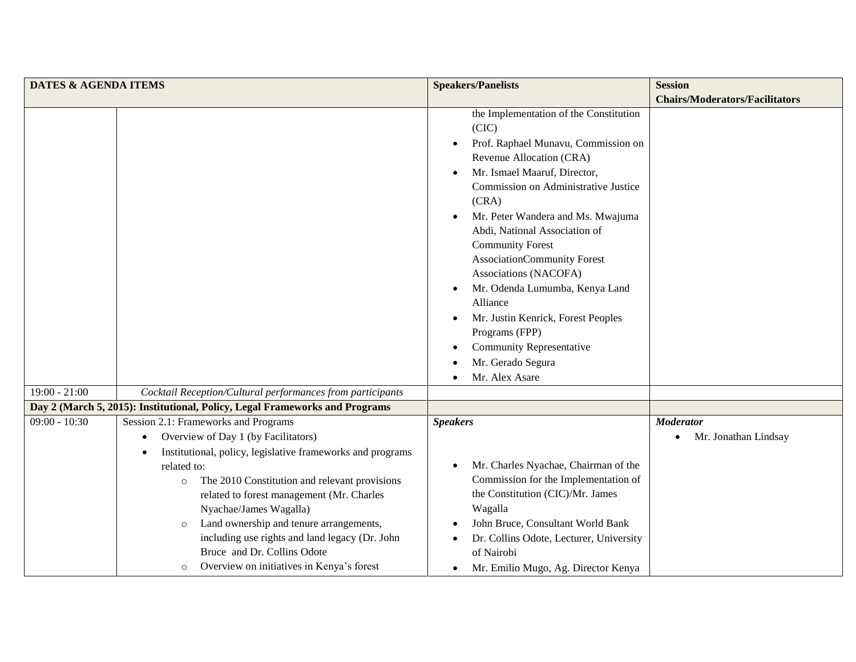| <b>DATES &amp; AGENDA ITEMS</b> |                                                                                                                                                                                                                                                                                                                                                                                                                                                                              | <b>Speakers/Panelists</b>                                                                                                                                                                                                                                                                                                                                                                                                                                                                                                                                              | <b>Session</b>                        |
|---------------------------------|------------------------------------------------------------------------------------------------------------------------------------------------------------------------------------------------------------------------------------------------------------------------------------------------------------------------------------------------------------------------------------------------------------------------------------------------------------------------------|------------------------------------------------------------------------------------------------------------------------------------------------------------------------------------------------------------------------------------------------------------------------------------------------------------------------------------------------------------------------------------------------------------------------------------------------------------------------------------------------------------------------------------------------------------------------|---------------------------------------|
|                                 |                                                                                                                                                                                                                                                                                                                                                                                                                                                                              |                                                                                                                                                                                                                                                                                                                                                                                                                                                                                                                                                                        | <b>Chairs/Moderators/Facilitators</b> |
|                                 |                                                                                                                                                                                                                                                                                                                                                                                                                                                                              | the Implementation of the Constitution<br>(CIC)<br>Prof. Raphael Munavu, Commission on<br>Revenue Allocation (CRA)<br>Mr. Ismael Maaruf, Director,<br>$\bullet$<br>Commission on Administrative Justice<br>(CRA)<br>Mr. Peter Wandera and Ms. Mwajuma<br>Abdi, National Association of<br><b>Community Forest</b><br>AssociationCommunity Forest<br>Associations (NACOFA)<br>Mr. Odenda Lumumba, Kenya Land<br>$\bullet$<br>Alliance<br>Mr. Justin Kenrick, Forest Peoples<br>Programs (FPP)<br><b>Community Representative</b><br>Mr. Gerado Segura<br>Mr. Alex Asare |                                       |
| $19:00 - 21:00$                 | Cocktail Reception/Cultural performances from participants                                                                                                                                                                                                                                                                                                                                                                                                                   |                                                                                                                                                                                                                                                                                                                                                                                                                                                                                                                                                                        |                                       |
|                                 | Day 2 (March 5, 2015): Institutional, Policy, Legal Frameworks and Programs                                                                                                                                                                                                                                                                                                                                                                                                  |                                                                                                                                                                                                                                                                                                                                                                                                                                                                                                                                                                        |                                       |
| $\overline{09:00}$ - 10:30      | Session 2.1: Frameworks and Programs                                                                                                                                                                                                                                                                                                                                                                                                                                         | <b>Speakers</b>                                                                                                                                                                                                                                                                                                                                                                                                                                                                                                                                                        | <b>Moderator</b>                      |
|                                 | Overview of Day 1 (by Facilitators)<br>$\bullet$<br>Institutional, policy, legislative frameworks and programs<br>$\bullet$<br>related to:<br>The 2010 Constitution and relevant provisions<br>$\circ$<br>related to forest management (Mr. Charles<br>Nyachae/James Wagalla)<br>Land ownership and tenure arrangements,<br>$\circ$<br>including use rights and land legacy (Dr. John<br>Bruce and Dr. Collins Odote<br>Overview on initiatives in Kenya's forest<br>$\circ$ | Mr. Charles Nyachae, Chairman of the<br>$\bullet$<br>Commission for the Implementation of<br>the Constitution (CIC)/Mr. James<br>Wagalla<br>John Bruce, Consultant World Bank<br>Dr. Collins Odote, Lecturer, University<br>of Nairobi<br>Mr. Emilio Mugo, Ag. Director Kenya<br>$\bullet$                                                                                                                                                                                                                                                                             | Mr. Jonathan Lindsay                  |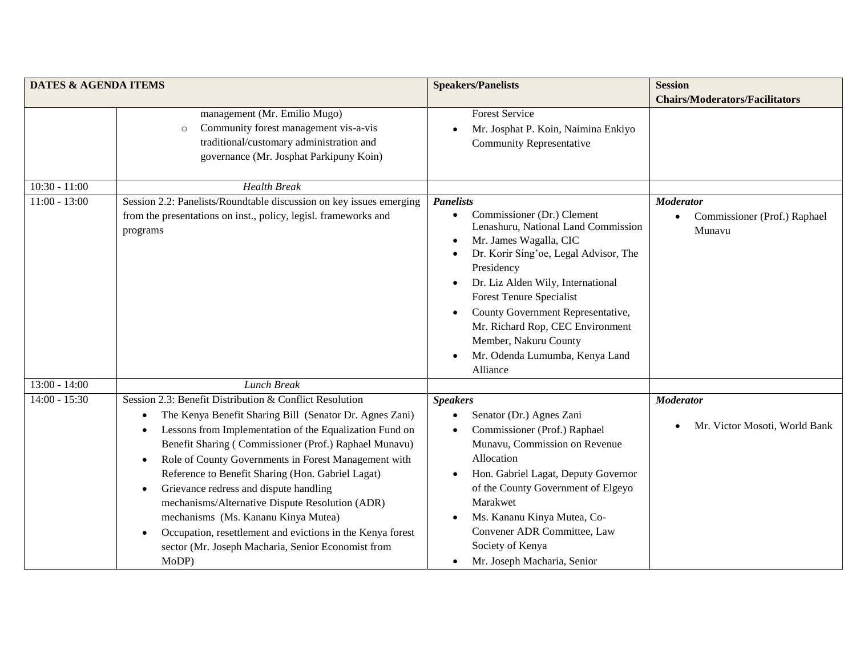| <b>DATES &amp; AGENDA ITEMS</b> |                                                                                                                                                                                                                                                                                                                                                                                                                                                                                                                                                                                                                                                                          | <b>Speakers/Panelists</b>                                                                                                                                                                                                                                                                                                                                                                                                             | <b>Session</b>                                             |
|---------------------------------|--------------------------------------------------------------------------------------------------------------------------------------------------------------------------------------------------------------------------------------------------------------------------------------------------------------------------------------------------------------------------------------------------------------------------------------------------------------------------------------------------------------------------------------------------------------------------------------------------------------------------------------------------------------------------|---------------------------------------------------------------------------------------------------------------------------------------------------------------------------------------------------------------------------------------------------------------------------------------------------------------------------------------------------------------------------------------------------------------------------------------|------------------------------------------------------------|
|                                 |                                                                                                                                                                                                                                                                                                                                                                                                                                                                                                                                                                                                                                                                          |                                                                                                                                                                                                                                                                                                                                                                                                                                       | <b>Chairs/Moderators/Facilitators</b>                      |
|                                 | management (Mr. Emilio Mugo)<br>Community forest management vis-a-vis<br>$\circ$<br>traditional/customary administration and<br>governance (Mr. Josphat Parkipuny Koin)                                                                                                                                                                                                                                                                                                                                                                                                                                                                                                  | <b>Forest Service</b><br>Mr. Josphat P. Koin, Naimina Enkiyo<br><b>Community Representative</b>                                                                                                                                                                                                                                                                                                                                       |                                                            |
| $10:30 - 11:00$                 | <b>Health Break</b>                                                                                                                                                                                                                                                                                                                                                                                                                                                                                                                                                                                                                                                      |                                                                                                                                                                                                                                                                                                                                                                                                                                       |                                                            |
| $11:00 - 13:00$                 | Session 2.2: Panelists/Roundtable discussion on key issues emerging<br>from the presentations on inst., policy, legisl. frameworks and<br>programs                                                                                                                                                                                                                                                                                                                                                                                                                                                                                                                       | <b>Panelists</b><br>Commissioner (Dr.) Clement<br>$\bullet$<br>Lenashuru, National Land Commission<br>Mr. James Wagalla, CIC<br>Dr. Korir Sing'oe, Legal Advisor, The<br>Presidency<br>Dr. Liz Alden Wily, International<br>$\bullet$<br><b>Forest Tenure Specialist</b><br>County Government Representative,<br>Mr. Richard Rop, CEC Environment<br>Member, Nakuru County<br>Mr. Odenda Lumumba, Kenya Land<br>$\bullet$<br>Alliance | <b>Moderator</b><br>Commissioner (Prof.) Raphael<br>Munavu |
| $13:00 - 14:00$                 | <b>Lunch Break</b>                                                                                                                                                                                                                                                                                                                                                                                                                                                                                                                                                                                                                                                       |                                                                                                                                                                                                                                                                                                                                                                                                                                       |                                                            |
| $14:00 - 15:30$                 | Session 2.3: Benefit Distribution & Conflict Resolution<br>The Kenya Benefit Sharing Bill (Senator Dr. Agnes Zani)<br>$\bullet$<br>Lessons from Implementation of the Equalization Fund on<br>$\bullet$<br>Benefit Sharing (Commissioner (Prof.) Raphael Munavu)<br>Role of County Governments in Forest Management with<br>$\bullet$<br>Reference to Benefit Sharing (Hon. Gabriel Lagat)<br>Grievance redress and dispute handling<br>$\bullet$<br>mechanisms/Alternative Dispute Resolution (ADR)<br>mechanisms (Ms. Kananu Kinya Mutea)<br>Occupation, resettlement and evictions in the Kenya forest<br>sector (Mr. Joseph Macharia, Senior Economist from<br>MoDP) | <b>Speakers</b><br>Senator (Dr.) Agnes Zani<br>$\bullet$<br>Commissioner (Prof.) Raphael<br>Munavu, Commission on Revenue<br>Allocation<br>Hon. Gabriel Lagat, Deputy Governor<br>$\bullet$<br>of the County Government of Elgeyo<br>Marakwet<br>Ms. Kananu Kinya Mutea, Co-<br>Convener ADR Committee, Law<br>Society of Kenya<br>Mr. Joseph Macharia, Senior<br>$\bullet$                                                           | <b>Moderator</b><br>Mr. Victor Mosoti, World Bank          |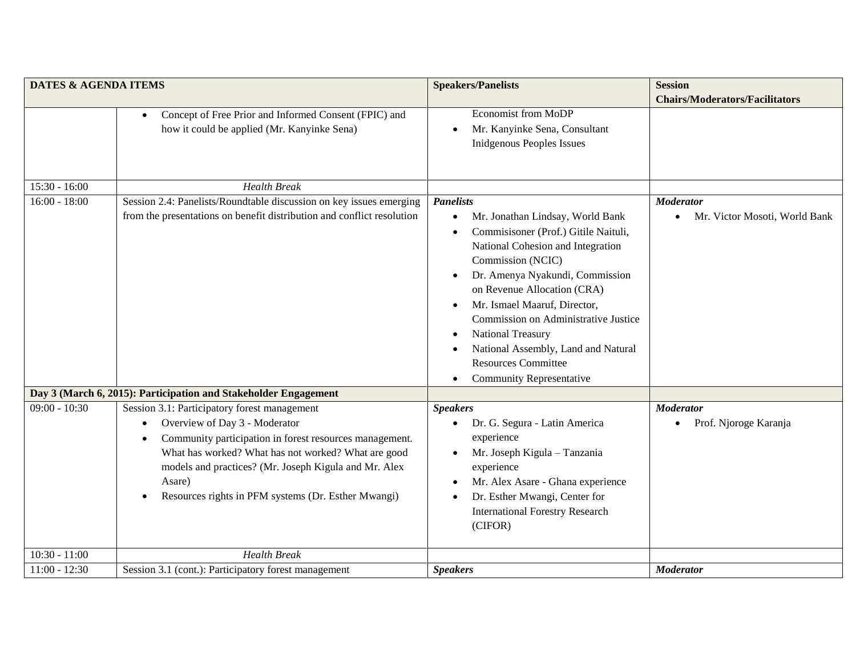| <b>DATES &amp; AGENDA ITEMS</b> |                                                                                                                                                                                                                                                                                                                                        | <b>Speakers/Panelists</b>                                                                                                                                                                                                                                                                                                                                                                                                                                                   | <b>Session</b>                                    |
|---------------------------------|----------------------------------------------------------------------------------------------------------------------------------------------------------------------------------------------------------------------------------------------------------------------------------------------------------------------------------------|-----------------------------------------------------------------------------------------------------------------------------------------------------------------------------------------------------------------------------------------------------------------------------------------------------------------------------------------------------------------------------------------------------------------------------------------------------------------------------|---------------------------------------------------|
|                                 | Concept of Free Prior and Informed Consent (FPIC) and<br>$\bullet$<br>how it could be applied (Mr. Kanyinke Sena)                                                                                                                                                                                                                      | <b>Economist from MoDP</b><br>Mr. Kanyinke Sena, Consultant<br><b>Inidgenous Peoples Issues</b>                                                                                                                                                                                                                                                                                                                                                                             | <b>Chairs/Moderators/Facilitators</b>             |
| $15:30 - 16:00$                 | <b>Health Break</b>                                                                                                                                                                                                                                                                                                                    |                                                                                                                                                                                                                                                                                                                                                                                                                                                                             |                                                   |
| $16:00 - 18:00$                 | Session 2.4: Panelists/Roundtable discussion on key issues emerging<br>from the presentations on benefit distribution and conflict resolution                                                                                                                                                                                          | <b>Panelists</b><br>Mr. Jonathan Lindsay, World Bank<br>$\bullet$<br>Commisisoner (Prof.) Gitile Naituli,<br>National Cohesion and Integration<br>Commission (NCIC)<br>Dr. Amenya Nyakundi, Commission<br>on Revenue Allocation (CRA)<br>Mr. Ismael Maaruf, Director,<br>$\bullet$<br>Commission on Administrative Justice<br><b>National Treasury</b><br>$\bullet$<br>National Assembly, Land and Natural<br><b>Resources Committee</b><br><b>Community Representative</b> | <b>Moderator</b><br>Mr. Victor Mosoti, World Bank |
|                                 | Day 3 (March 6, 2015): Participation and Stakeholder Engagement                                                                                                                                                                                                                                                                        |                                                                                                                                                                                                                                                                                                                                                                                                                                                                             |                                                   |
| $09:00 - 10:30$                 | Session 3.1: Participatory forest management<br>Overview of Day 3 - Moderator<br>Community participation in forest resources management.<br>$\bullet$<br>What has worked? What has not worked? What are good<br>models and practices? (Mr. Joseph Kigula and Mr. Alex<br>Asare)<br>Resources rights in PFM systems (Dr. Esther Mwangi) | <b>Speakers</b><br>Dr. G. Segura - Latin America<br>experience<br>Mr. Joseph Kigula - Tanzania<br>$\bullet$<br>experience<br>Mr. Alex Asare - Ghana experience<br>Dr. Esther Mwangi, Center for<br><b>International Forestry Research</b><br>(CIFOR)                                                                                                                                                                                                                        | <b>Moderator</b><br>Prof. Njoroge Karanja         |
| $10:30 - 11:00$                 | <b>Health Break</b>                                                                                                                                                                                                                                                                                                                    |                                                                                                                                                                                                                                                                                                                                                                                                                                                                             |                                                   |
| $11:00 - 12:30$                 | Session 3.1 (cont.): Participatory forest management                                                                                                                                                                                                                                                                                   | <b>Speakers</b>                                                                                                                                                                                                                                                                                                                                                                                                                                                             | <b>Moderator</b>                                  |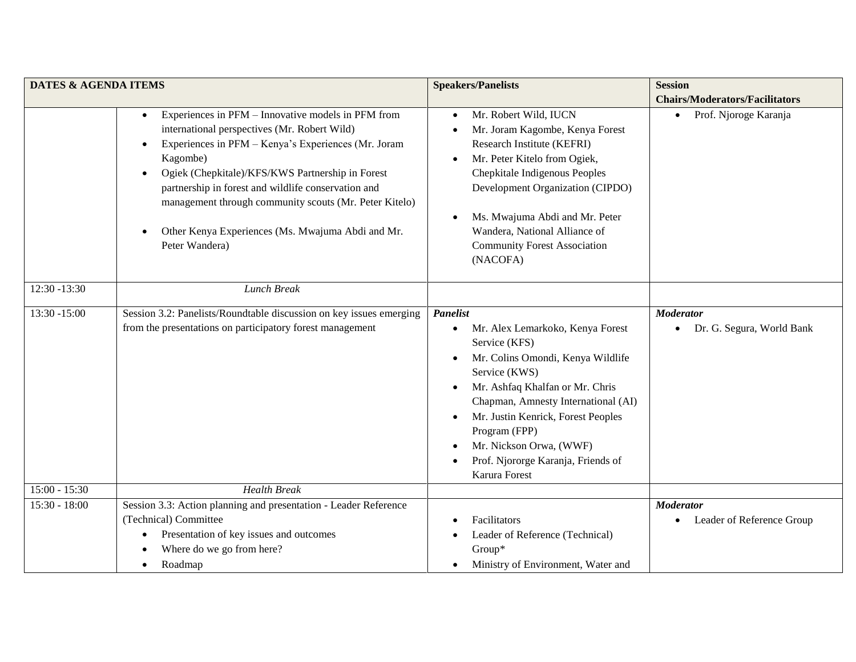| <b>DATES &amp; AGENDA ITEMS</b> |                                                                                                                                                                                                                                                                                                                                                                                                                                | <b>Speakers/Panelists</b>                                                                                                                                                                                                                                                                                                                                                            | <b>Session</b>                                             |
|---------------------------------|--------------------------------------------------------------------------------------------------------------------------------------------------------------------------------------------------------------------------------------------------------------------------------------------------------------------------------------------------------------------------------------------------------------------------------|--------------------------------------------------------------------------------------------------------------------------------------------------------------------------------------------------------------------------------------------------------------------------------------------------------------------------------------------------------------------------------------|------------------------------------------------------------|
|                                 |                                                                                                                                                                                                                                                                                                                                                                                                                                |                                                                                                                                                                                                                                                                                                                                                                                      | <b>Chairs/Moderators/Facilitators</b>                      |
|                                 | Experiences in PFM - Innovative models in PFM from<br>$\bullet$<br>international perspectives (Mr. Robert Wild)<br>Experiences in PFM - Kenya's Experiences (Mr. Joram<br>Kagombe)<br>Ogiek (Chepkitale)/KFS/KWS Partnership in Forest<br>partnership in forest and wildlife conservation and<br>management through community scouts (Mr. Peter Kitelo)<br>Other Kenya Experiences (Ms. Mwajuma Abdi and Mr.<br>Peter Wandera) | Mr. Robert Wild, IUCN<br>$\bullet$<br>Mr. Joram Kagombe, Kenya Forest<br>Research Institute (KEFRI)<br>Mr. Peter Kitelo from Ogiek,<br>$\bullet$<br>Chepkitale Indigenous Peoples<br>Development Organization (CIPDO)<br>Ms. Mwajuma Abdi and Mr. Peter<br>Wandera, National Alliance of<br><b>Community Forest Association</b><br>(NACOFA)                                          | Prof. Njoroge Karanja<br>$\bullet$                         |
| 12:30 -13:30                    | <b>Lunch Break</b>                                                                                                                                                                                                                                                                                                                                                                                                             |                                                                                                                                                                                                                                                                                                                                                                                      |                                                            |
| 13:30 -15:00                    | Session 3.2: Panelists/Roundtable discussion on key issues emerging<br>from the presentations on participatory forest management                                                                                                                                                                                                                                                                                               | <b>Panelist</b><br>Mr. Alex Lemarkoko, Kenya Forest<br>$\bullet$<br>Service (KFS)<br>Mr. Colins Omondi, Kenya Wildlife<br>$\bullet$<br>Service (KWS)<br>Mr. Ashfaq Khalfan or Mr. Chris<br>Chapman, Amnesty International (AI)<br>Mr. Justin Kenrick, Forest Peoples<br>$\bullet$<br>Program (FPP)<br>Mr. Nickson Orwa, (WWF)<br>Prof. Njororge Karanja, Friends of<br>Karura Forest | <b>Moderator</b><br>Dr. G. Segura, World Bank              |
| $15:00 - 15:30$                 | <b>Health Break</b>                                                                                                                                                                                                                                                                                                                                                                                                            |                                                                                                                                                                                                                                                                                                                                                                                      |                                                            |
| $15:30 - 18:00$                 | Session 3.3: Action planning and presentation - Leader Reference<br>(Technical) Committee<br>Presentation of key issues and outcomes<br>Where do we go from here?<br>Roadmap<br>$\bullet$                                                                                                                                                                                                                                      | Facilitators<br>Leader of Reference (Technical)<br>Group*<br>Ministry of Environment, Water and                                                                                                                                                                                                                                                                                      | <b>Moderator</b><br>Leader of Reference Group<br>$\bullet$ |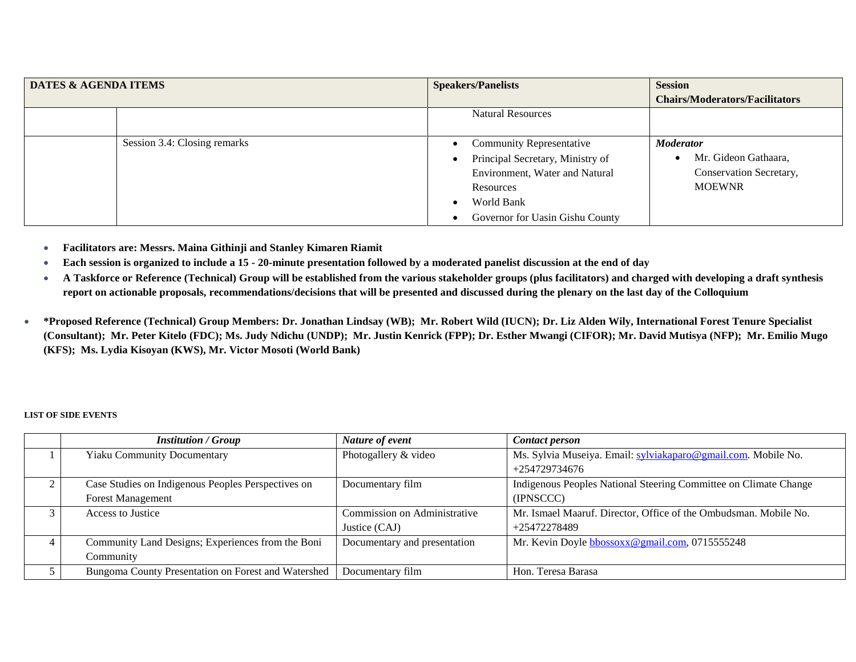| <b>DATES &amp; AGENDA ITEMS</b> |                              | <b>Speakers/Panelists</b>        | <b>Session</b>                        |
|---------------------------------|------------------------------|----------------------------------|---------------------------------------|
|                                 |                              |                                  | <b>Chairs/Moderators/Facilitators</b> |
|                                 |                              | <b>Natural Resources</b>         |                                       |
|                                 |                              |                                  |                                       |
|                                 | Session 3.4: Closing remarks | <b>Community Representative</b>  | <b>Moderator</b>                      |
|                                 |                              | Principal Secretary, Ministry of | Mr. Gideon Gathaara,                  |
|                                 |                              | Environment, Water and Natural   | Conservation Secretary,               |
|                                 |                              | Resources                        | <b>MOEWNR</b>                         |
|                                 |                              | World Bank<br>$\bullet$          |                                       |
|                                 |                              | Governor for Uasin Gishu County  |                                       |

- **Facilitators are: Messrs. Maina Githinji and Stanley Kimaren Riamit**
- **Each session is organized to include a 15 - 20-minute presentation followed by a moderated panelist discussion at the end of day**
- **A Taskforce or Reference (Technical) Group will be established from the various stakeholder groups (plus facilitators) and charged with developing a draft synthesis report on actionable proposals, recommendations/decisions that will be presented and discussed during the plenary on the last day of the Colloquium**
- **\*Proposed Reference (Technical) Group Members: Dr. Jonathan Lindsay (WB); Mr. Robert Wild (IUCN); Dr. Liz Alden Wily, International Forest Tenure Specialist**  (Consultant); Mr. Peter Kitelo (FDC); Ms. Judy Ndichu (UNDP); Mr. Justin Kenrick (FPP); Dr. Esther Mwangi (CIFOR); Mr. David Mutisya (NFP); Mr. Emilio Mugo **(KFS); Ms. Lydia Kisoyan (KWS), Mr. Victor Mosoti (World Bank)**

## **LIST OF SIDE EVENTS**

|                | <b>Institution / Group</b>                          | Nature of event              | <b>Contact person</b>                                            |
|----------------|-----------------------------------------------------|------------------------------|------------------------------------------------------------------|
|                | <b>Yiaku Community Documentary</b>                  | Photogallery & video         | Ms. Sylvia Museiya. Email: sylviakaparo@gmail.com. Mobile No.    |
|                |                                                     |                              | $+254729734676$                                                  |
| ◠              | Case Studies on Indigenous Peoples Perspectives on  | Documentary film             | Indigenous Peoples National Steering Committee on Climate Change |
|                | <b>Forest Management</b>                            |                              | (IPNSCCC)                                                        |
|                | Access to Justice                                   | Commission on Administrative | Mr. Ismael Maaruf. Director, Office of the Ombudsman. Mobile No. |
|                |                                                     | Justice (CAJ)                | +25472278489                                                     |
| $\overline{4}$ | Community Land Designs; Experiences from the Boni   | Documentary and presentation | Mr. Kevin Doyle bbossoxx@gmail.com, 0715555248                   |
|                | Community                                           |                              |                                                                  |
|                | Bungoma County Presentation on Forest and Watershed | Documentary film             | Hon. Teresa Barasa                                               |